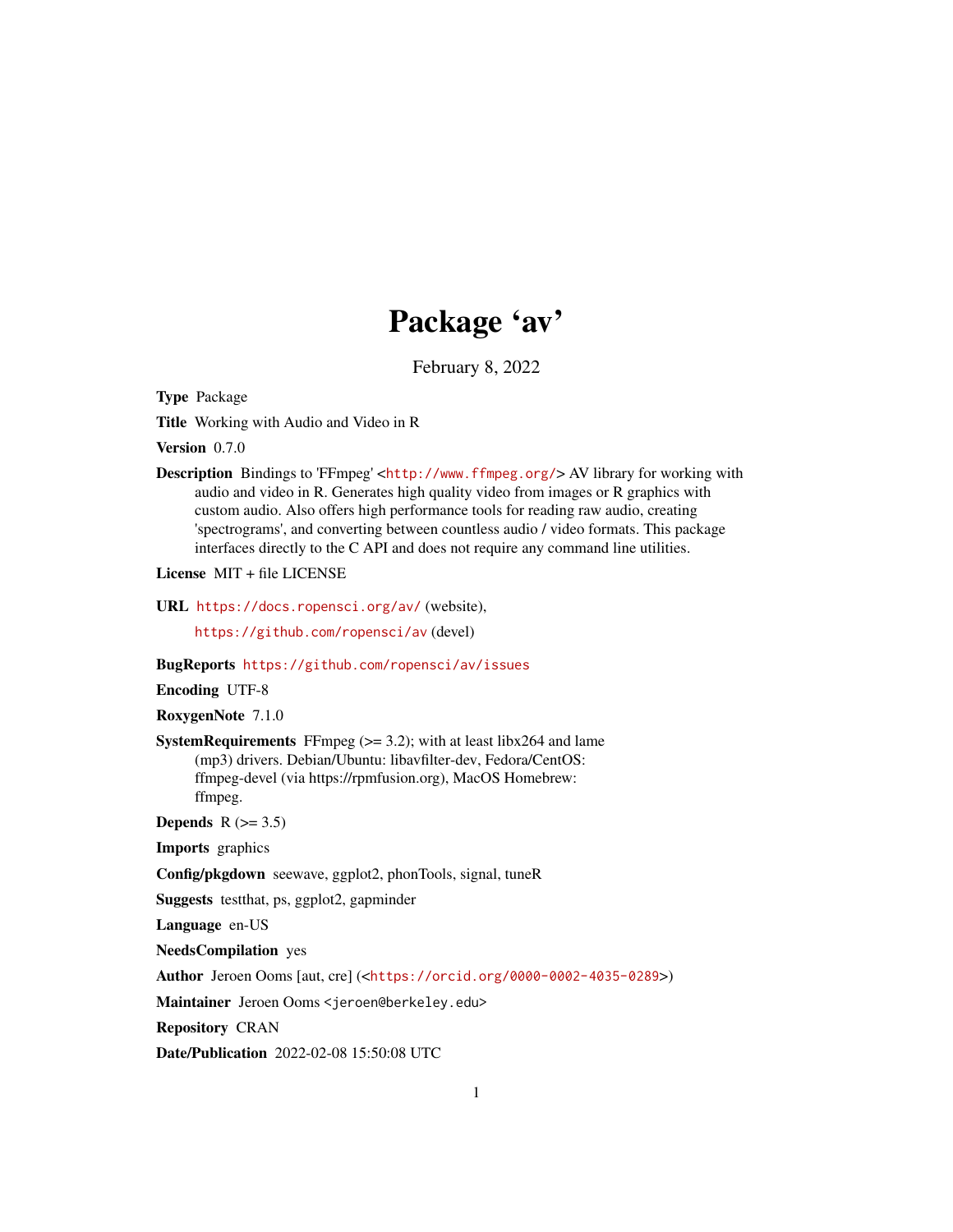# Package 'av'

February 8, 2022

<span id="page-0-0"></span>Type Package

Title Working with Audio and Video in R

Version 0.7.0

Description Bindings to 'FFmpeg' <<http://www.ffmpeg.org/>> AV library for working with audio and video in R. Generates high quality video from images or R graphics with custom audio. Also offers high performance tools for reading raw audio, creating 'spectrograms', and converting between countless audio / video formats. This package interfaces directly to the C API and does not require any command line utilities.

License MIT + file LICENSE

URL <https://docs.ropensci.org/av/> (website),

<https://github.com/ropensci/av> (devel)

BugReports <https://github.com/ropensci/av/issues>

Encoding UTF-8

RoxygenNote 7.1.0

**SystemRequirements** FFmpeg  $(>= 3.2)$ ; with at least libx264 and lame (mp3) drivers. Debian/Ubuntu: libavfilter-dev, Fedora/CentOS: ffmpeg-devel (via https://rpmfusion.org), MacOS Homebrew: ffmpeg.

Depends  $R$  ( $>= 3.5$ )

Imports graphics

Config/pkgdown seewave, ggplot2, phonTools, signal, tuneR

Suggests testthat, ps, ggplot2, gapminder

Language en-US

NeedsCompilation yes

Author Jeroen Ooms [aut, cre] (<<https://orcid.org/0000-0002-4035-0289>>)

Maintainer Jeroen Ooms <jeroen@berkeley.edu>

Repository CRAN

Date/Publication 2022-02-08 15:50:08 UTC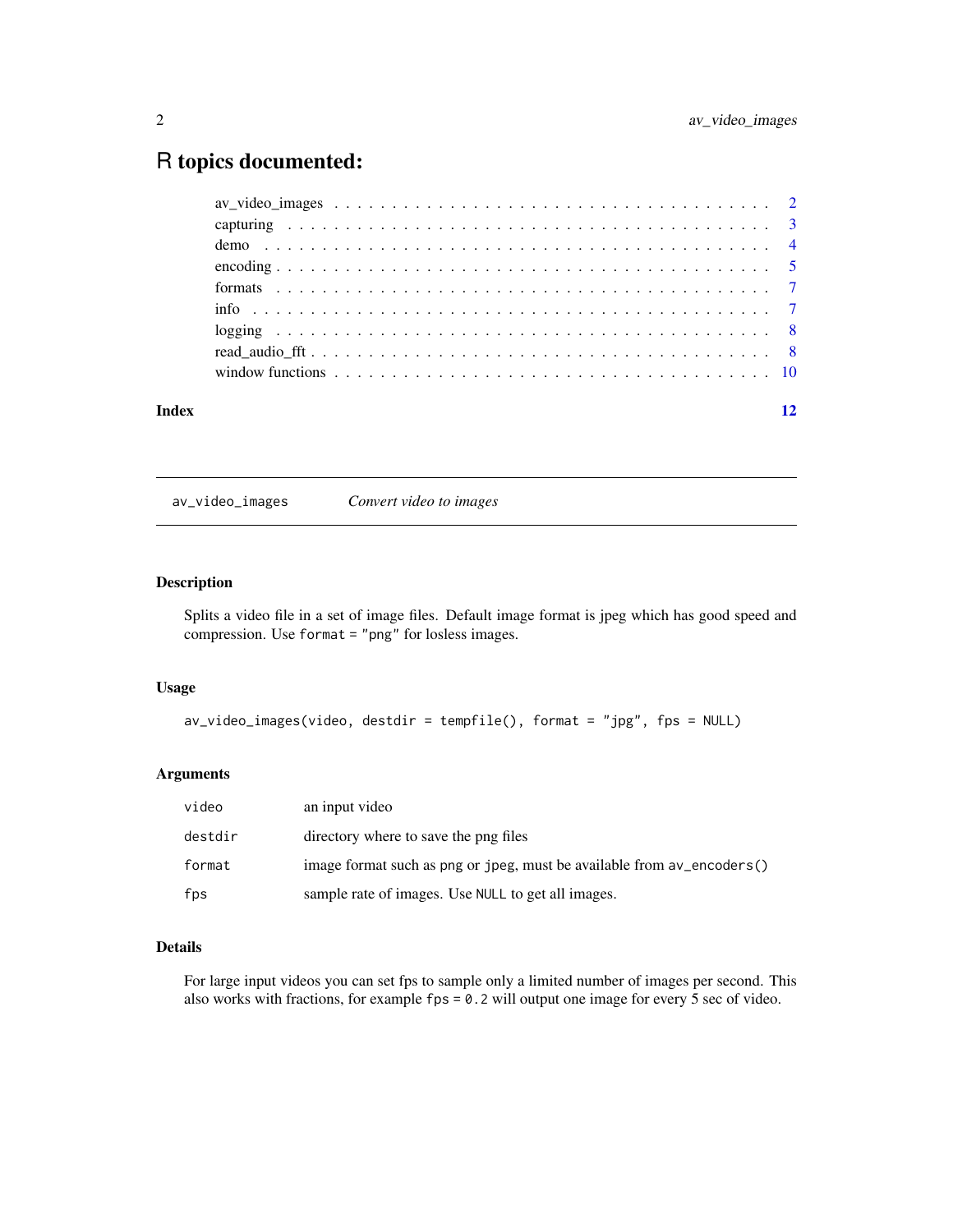# <span id="page-1-0"></span>R topics documented:

| Index |  |
|-------|--|
|       |  |
|       |  |
|       |  |
|       |  |
|       |  |
|       |  |
|       |  |
|       |  |
|       |  |

av\_video\_images *Convert video to images*

# Description

Splits a video file in a set of image files. Default image format is jpeg which has good speed and compression. Use format = "png" for losless images.

# Usage

```
av_video_images(video, destdir = tempfile(), format = "jpg", fps = NULL)
```
# Arguments

| video   | an input video                                                         |
|---------|------------------------------------------------------------------------|
| destdir | directory where to save the png files                                  |
| format  | image format such as png or jpeg, must be available from av_encoders() |
| fps     | sample rate of images. Use NULL to get all images.                     |

# Details

For large input videos you can set fps to sample only a limited number of images per second. This also works with fractions, for example fps = 0.2 will output one image for every 5 sec of video.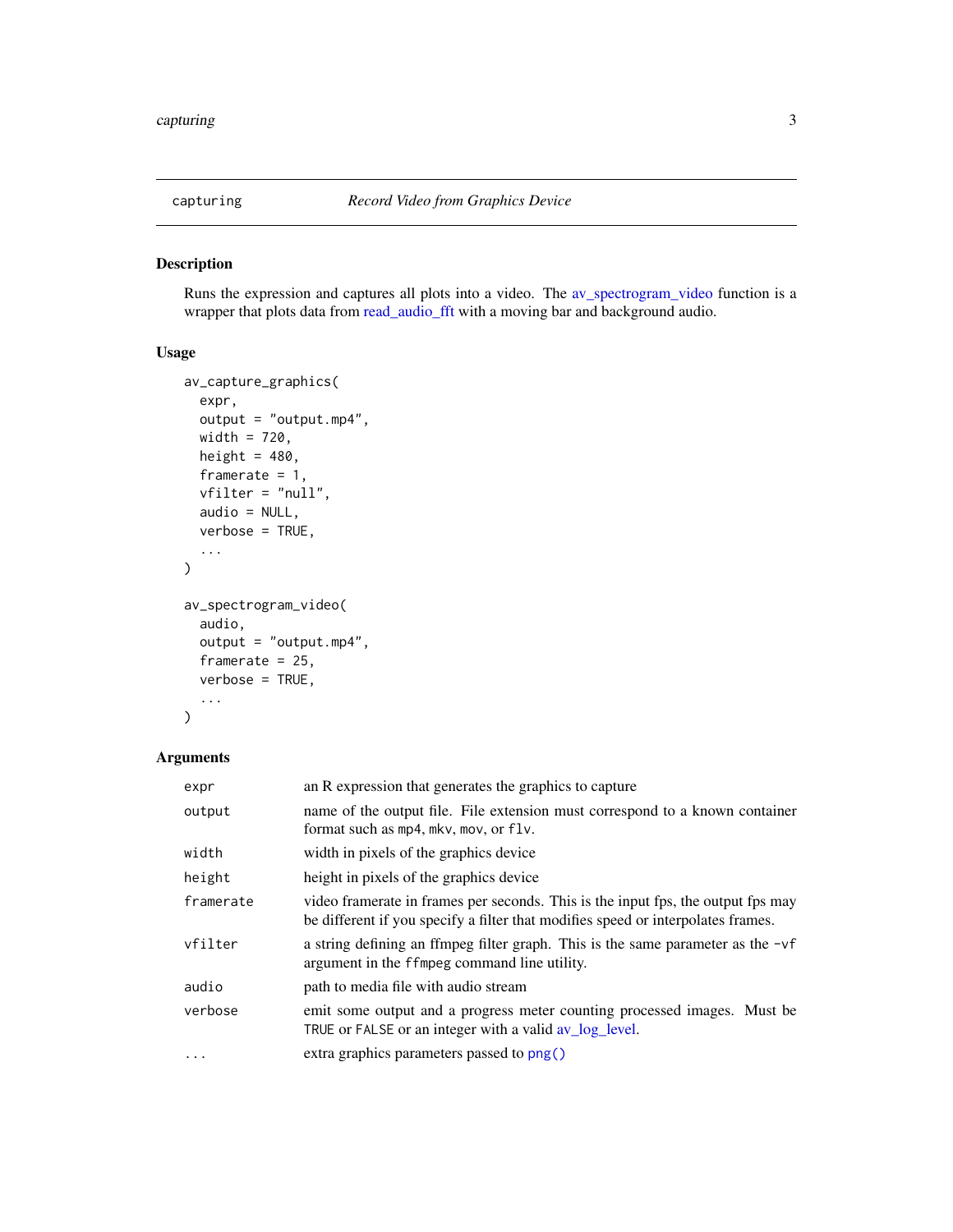<span id="page-2-2"></span><span id="page-2-0"></span>

# <span id="page-2-1"></span>Description

Runs the expression and captures all plots into a video. The [av\\_spectrogram\\_video](#page-2-1) function is a wrapper that plots data from [read\\_audio\\_fft](#page-7-1) with a moving bar and background audio.

# Usage

```
av_capture_graphics(
  expr,
  output = "output.mp4",
 width = 720,
 height = 480,
  framerate = 1,
  vfilter = "null",
  audio = NULL,
  verbose = TRUE,
  ...
\mathcal{L}av_spectrogram_video(
  audio,
 output = "output.mp4",
  framerate = 25,
  verbose = TRUE,
  ...
)
```
# Arguments

| expr      | an R expression that generates the graphics to capture                                                                                                               |
|-----------|----------------------------------------------------------------------------------------------------------------------------------------------------------------------|
| output    | name of the output file. File extension must correspond to a known container<br>format such as $mp4$ , $mkv$ , $mov$ , or $flv$ .                                    |
| width     | width in pixels of the graphics device                                                                                                                               |
| height    | height in pixels of the graphics device                                                                                                                              |
| framerate | video framerate in frames per seconds. This is the input fps, the output fps may<br>be different if you specify a filter that modifies speed or interpolates frames. |
| vfilter   | a string defining an ffmpeg filter graph. This is the same parameter as the $-\nu f$<br>argument in the ffmpeg command line utility.                                 |
| audio     | path to media file with audio stream                                                                                                                                 |
| verbose   | emit some output and a progress meter counting processed images. Must be<br>TRUE or FALSE or an integer with a valid av_log_level.                                   |
| $\cdots$  | extra graphics parameters passed to png()                                                                                                                            |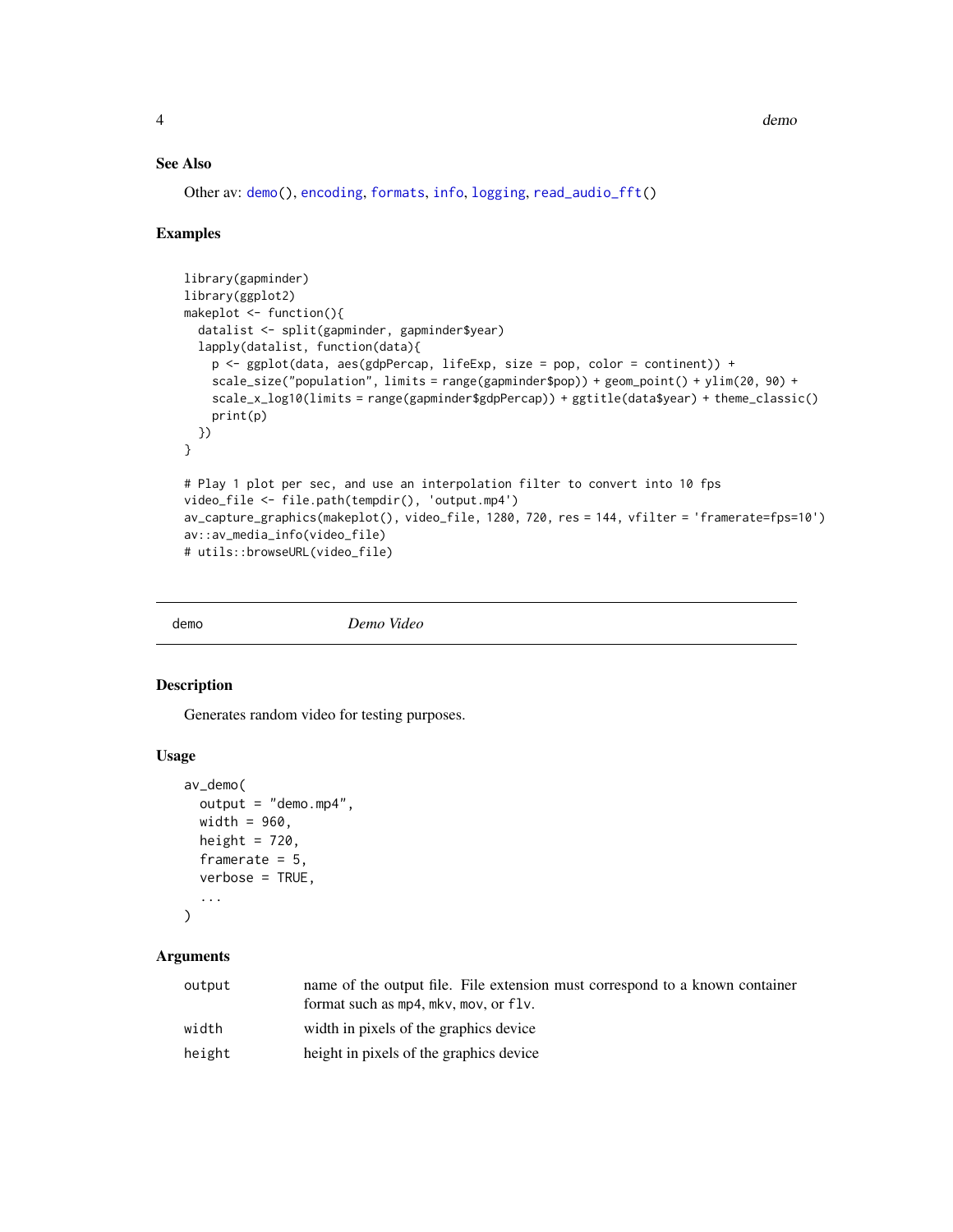# See Also

Other av: [demo\(](#page-3-1)), [encoding](#page-4-1), [formats](#page-6-1), [info](#page-6-2), [logging](#page-7-3), [read\\_audio\\_fft\(](#page-7-1))

#### Examples

```
library(gapminder)
library(ggplot2)
makeplot <- function(){
  datalist <- split(gapminder, gapminder$year)
  lapply(datalist, function(data){
    p <- ggplot(data, aes(gdpPercap, lifeExp, size = pop, color = continent)) +
    scale_size("population", limits = range(gapminder$pop)) + geom_point() + ylim(20, 90) +
   scale_x_log10(limits = range(gapminder$gdpPercap)) + ggtitle(data$year) + theme_classic()
   print(p)
  })
}
# Play 1 plot per sec, and use an interpolation filter to convert into 10 fps
video_file <- file.path(tempdir(), 'output.mp4')
av_capture_graphics(makeplot(), video_file, 1280, 720, res = 144, vfilter = 'framerate=fps=10')
av::av_media_info(video_file)
# utils::browseURL(video_file)
```
<span id="page-3-1"></span>

demo *Demo Video*

#### Description

Generates random video for testing purposes.

#### Usage

```
av_demo(
  output = "demo.mp4",
 width = 960,
 height = 720,
 framerate = 5,
  verbose = TRUE,
  ...
)
```
# Arguments

| output | name of the output file. File extension must correspond to a known container<br>format such as $mp4$ , $mkv$ , $mov$ , or $flv$ . |
|--------|-----------------------------------------------------------------------------------------------------------------------------------|
| width  | width in pixels of the graphics device                                                                                            |
| height | height in pixels of the graphics device                                                                                           |

<span id="page-3-0"></span>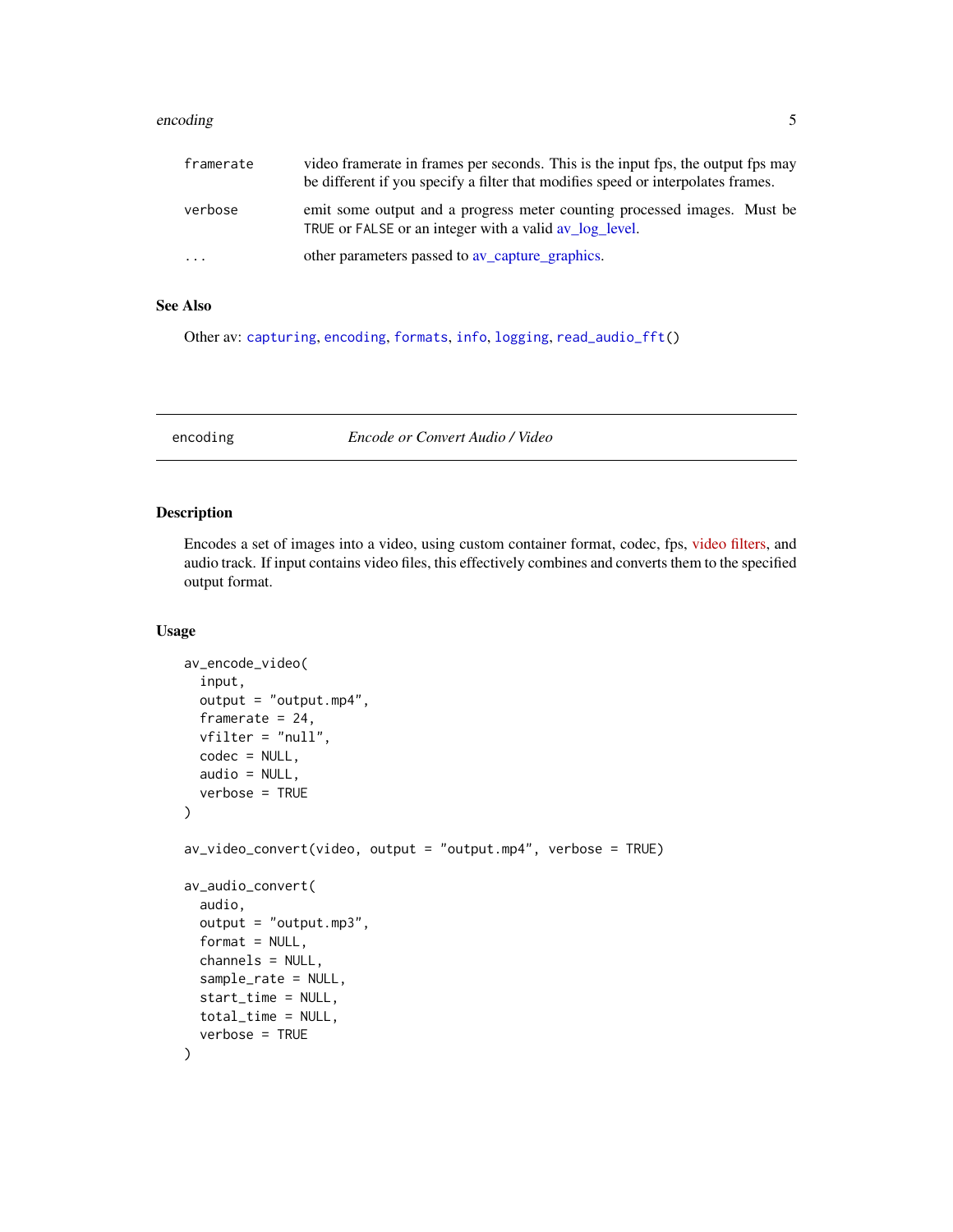#### <span id="page-4-0"></span>encoding 5

| framerate | video framerate in frames per seconds. This is the input fps, the output fps may<br>be different if you specify a filter that modifies speed or interpolates frames. |
|-----------|----------------------------------------------------------------------------------------------------------------------------------------------------------------------|
| verbose   | emit some output and a progress meter counting processed images. Must be<br>TRUE or FALSE or an integer with a valid av log level.                                   |
| $\cdots$  | other parameters passed to av_capture_graphics.                                                                                                                      |

# See Also

Other av: [capturing](#page-2-2), [encoding](#page-4-1), [formats](#page-6-1), [info](#page-6-2), [logging](#page-7-3), [read\\_audio\\_fft\(](#page-7-1))

<span id="page-4-1"></span>encoding *Encode or Convert Audio / Video*

# Description

Encodes a set of images into a video, using custom container format, codec, fps, [video filters,](https://ffmpeg.org/ffmpeg-filters.html#Video-Filters) and audio track. If input contains video files, this effectively combines and converts them to the specified output format.

#### Usage

```
av_encode_video(
  input,
  output = "output.mp4",
  framerate = 24,
  vfilter = "null",
  codec = NULL,audio = NULL,
  verbose = TRUE
\mathcal{E}av\_video\_convert(video, output = "output.mp4", verbose = TRUE)av_audio_convert(
  audio,
  output = "output.mp3",
  format = NULL,channels = NULL,
  sample_rate = NULL,
  start_time = NULL,
  total_time = NULL,
  verbose = TRUE
)
```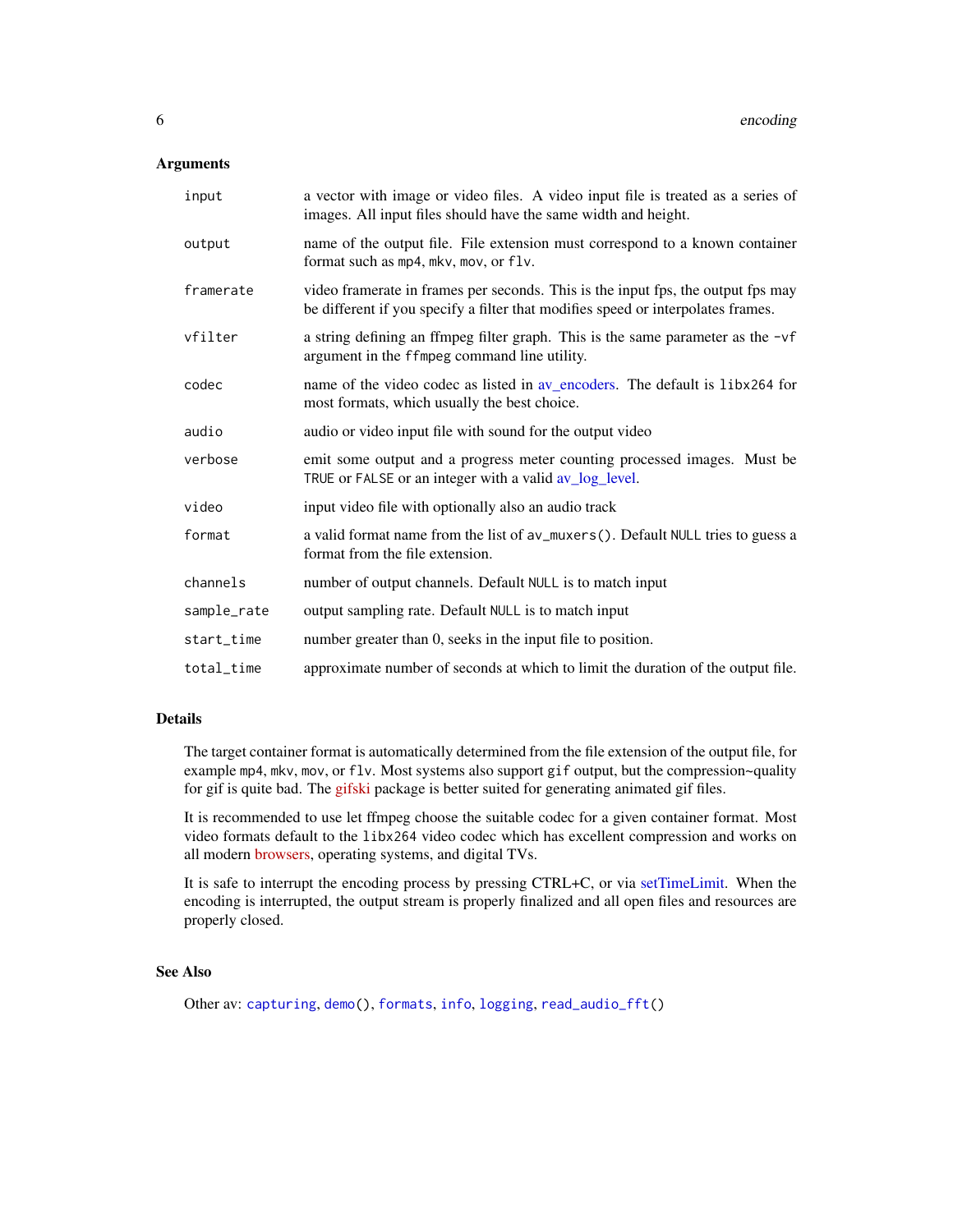#### <span id="page-5-0"></span>Arguments

| input       | a vector with image or video files. A video input file is treated as a series of<br>images. All input files should have the same width and height.                   |
|-------------|----------------------------------------------------------------------------------------------------------------------------------------------------------------------|
| output      | name of the output file. File extension must correspond to a known container<br>format such as mp4, mkv, mov, or flv.                                                |
| framerate   | video framerate in frames per seconds. This is the input fps, the output fps may<br>be different if you specify a filter that modifies speed or interpolates frames. |
| vfilter     | a string defining an ffmpeg filter graph. This is the same parameter as the $-vf$<br>argument in the ffmpeg command line utility.                                    |
| codec       | name of the video codec as listed in av_encoders. The default is libx264 for<br>most formats, which usually the best choice.                                         |
| audio       | audio or video input file with sound for the output video                                                                                                            |
| verbose     | emit some output and a progress meter counting processed images. Must be<br>TRUE or FALSE or an integer with a valid av_log_level.                                   |
| video       | input video file with optionally also an audio track                                                                                                                 |
| format      | a valid format name from the list of av_muxers(). Default NULL tries to guess a<br>format from the file extension.                                                   |
| channels    | number of output channels. Default NULL is to match input                                                                                                            |
| sample_rate | output sampling rate. Default NULL is to match input                                                                                                                 |
| start_time  | number greater than 0, seeks in the input file to position.                                                                                                          |
| total_time  | approximate number of seconds at which to limit the duration of the output file.                                                                                     |

# Details

The target container format is automatically determined from the file extension of the output file, for example mp4, mkv, mov, or flv. Most systems also support gif output, but the compression~quality for gif is quite bad. The [gifski](https://cran.r-project.org/package=gifski) package is better suited for generating animated gif files.

It is recommended to use let ffmpeg choose the suitable codec for a given container format. Most video formats default to the libx264 video codec which has excellent compression and works on all modern [browsers,](https://caniuse.com/#search=h264) operating systems, and digital TVs.

It is safe to interrupt the encoding process by pressing CTRL+C, or via [setTimeLimit.](#page-0-0) When the encoding is interrupted, the output stream is properly finalized and all open files and resources are properly closed.

# See Also

Other av: [capturing](#page-2-2), [demo\(](#page-3-1)), [formats](#page-6-1), [info](#page-6-2), [logging](#page-7-3), [read\\_audio\\_fft\(](#page-7-1))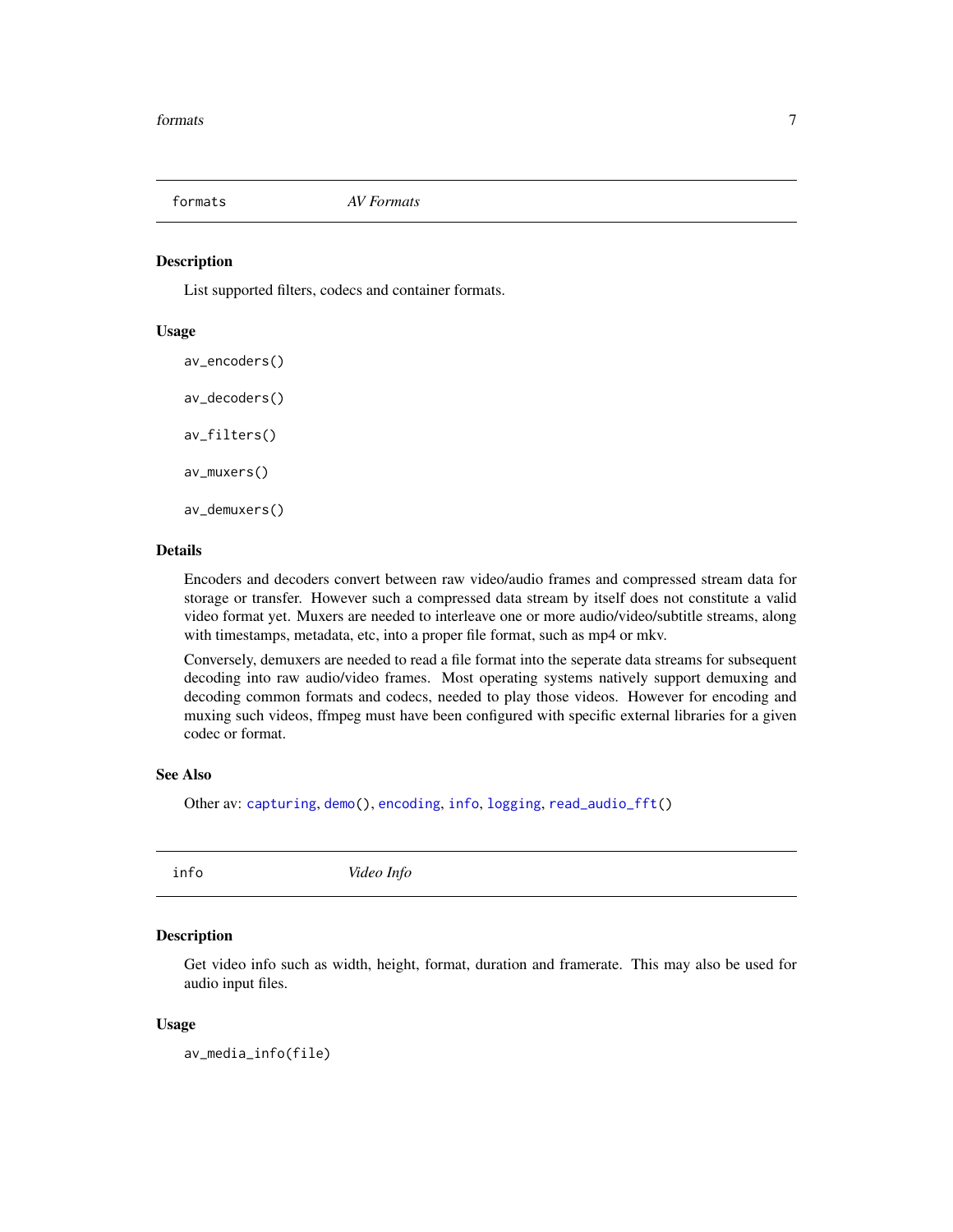<span id="page-6-1"></span><span id="page-6-0"></span>

#### <span id="page-6-3"></span>Description

List supported filters, codecs and container formats.

#### Usage

av\_encoders() av\_decoders() av\_filters() av\_muxers() av\_demuxers()

#### Details

Encoders and decoders convert between raw video/audio frames and compressed stream data for storage or transfer. However such a compressed data stream by itself does not constitute a valid video format yet. Muxers are needed to interleave one or more audio/video/subtitle streams, along with timestamps, metadata, etc, into a proper file format, such as mp4 or mkv.

Conversely, demuxers are needed to read a file format into the seperate data streams for subsequent decoding into raw audio/video frames. Most operating systems natively support demuxing and decoding common formats and codecs, needed to play those videos. However for encoding and muxing such videos, ffmpeg must have been configured with specific external libraries for a given codec or format.

#### See Also

Other av: [capturing](#page-2-2), [demo\(](#page-3-1)), [encoding](#page-4-1), [info](#page-6-2), [logging](#page-7-3), [read\\_audio\\_fft\(](#page-7-1))

<span id="page-6-2"></span>

info *Video Info* 

#### **Description**

Get video info such as width, height, format, duration and framerate. This may also be used for audio input files.

#### Usage

```
av_media_info(file)
```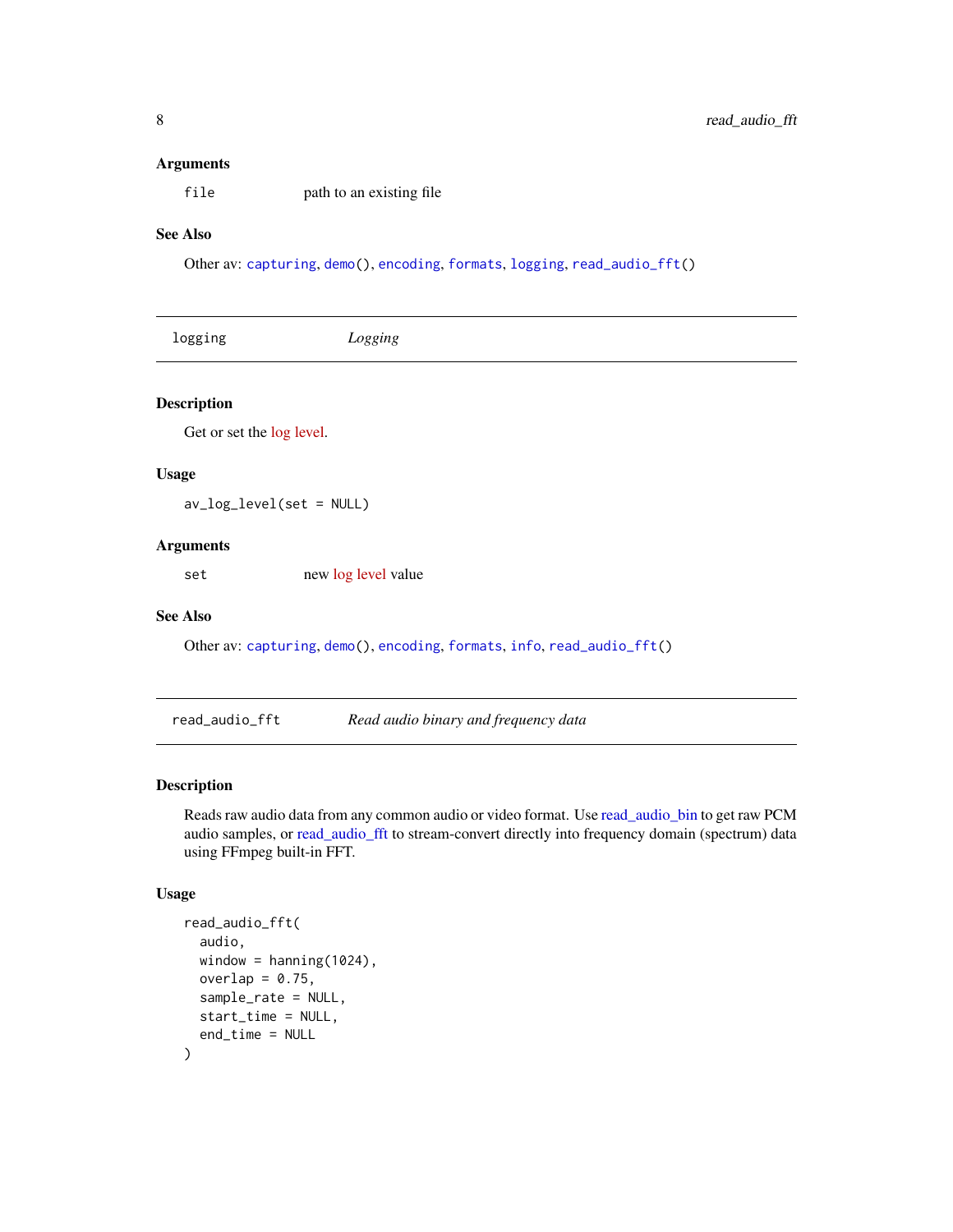#### <span id="page-7-0"></span>Arguments

file path to an existing file

# See Also

Other av: [capturing](#page-2-2), [demo\(](#page-3-1)), [encoding](#page-4-1), [formats](#page-6-1), [logging](#page-7-3), [read\\_audio\\_fft\(](#page-7-1))

<span id="page-7-3"></span><span id="page-7-2"></span>

| logging            | Logging |
|--------------------|---------|
| <b>Description</b> |         |

Get or set the [log level.](https://www.ffmpeg.org/doxygen/4.0/group__lavu__log__constants.html)

# Usage

av\_log\_level(set = NULL)

# Arguments

set new [log level](https://www.ffmpeg.org/doxygen/4.0/group__lavu__log__constants.html) value

#### See Also

Other av: [capturing](#page-2-2), [demo\(](#page-3-1)), [encoding](#page-4-1), [formats](#page-6-1), [info](#page-6-2), [read\\_audio\\_fft\(](#page-7-1))

<span id="page-7-1"></span>read\_audio\_fft *Read audio binary and frequency data*

# <span id="page-7-4"></span>Description

Reads raw audio data from any common audio or video format. Use [read\\_audio\\_bin](#page-7-4) to get raw PCM audio samples, or [read\\_audio\\_fft](#page-7-1) to stream-convert directly into frequency domain (spectrum) data using FFmpeg built-in FFT.

# Usage

```
read_audio_fft(
  audio,
 window = hanning(1024),
 overlap = 0.75,
 sample_rate = NULL,
 start_time = NULL,
  end_time = NULL
)
```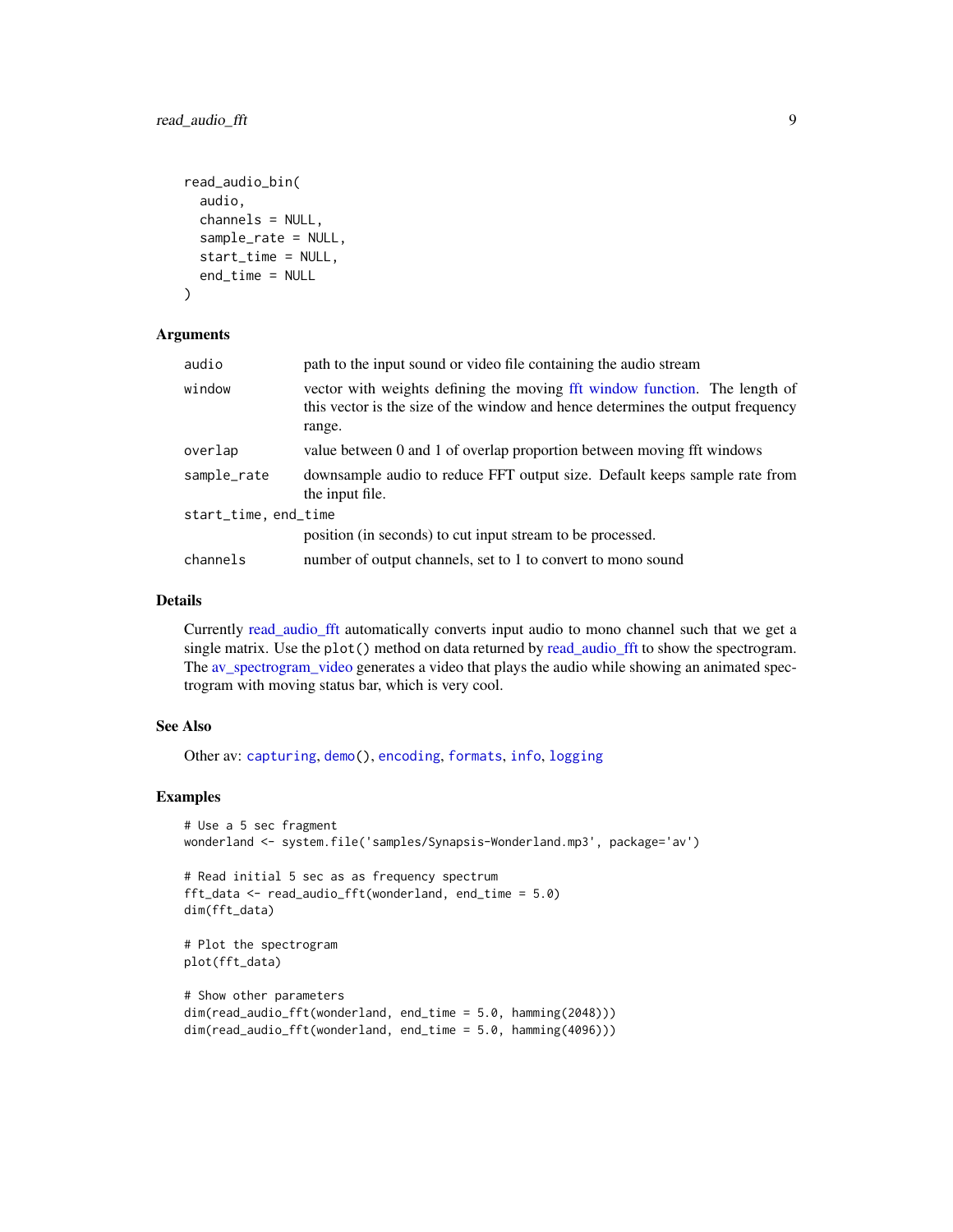```
read_audio_bin(
  audio,
 channels = NULL,
  sample_rate = NULL,
  start_time = NULL,
 end_time = NULL
\lambda
```
# Arguments

| audio                | path to the input sound or video file containing the audio stream                                                                                                       |
|----------------------|-------------------------------------------------------------------------------------------------------------------------------------------------------------------------|
| window               | vector with weights defining the moving fft window function. The length of<br>this vector is the size of the window and hence determines the output frequency<br>range. |
| overlap              | value between 0 and 1 of overlap proportion between moving fft windows                                                                                                  |
| sample_rate          | downsample audio to reduce FFT output size. Default keeps sample rate from<br>the input file.                                                                           |
| start_time, end_time |                                                                                                                                                                         |
|                      | position (in seconds) to cut input stream to be processed.                                                                                                              |
| channels             | number of output channels, set to 1 to convert to mono sound                                                                                                            |

# Details

Currently [read\\_audio\\_fft](#page-7-1) automatically converts input audio to mono channel such that we get a single matrix. Use the plot() method on data returned by [read\\_audio\\_fft](#page-7-1) to show the spectrogram. The [av\\_spectrogram\\_video](#page-2-1) generates a video that plays the audio while showing an animated spectrogram with moving status bar, which is very cool.

### See Also

Other av: [capturing](#page-2-2), [demo\(](#page-3-1)), [encoding](#page-4-1), [formats](#page-6-1), [info](#page-6-2), [logging](#page-7-3)

# Examples

```
# Use a 5 sec fragment
wonderland <- system.file('samples/Synapsis-Wonderland.mp3', package='av')
# Read initial 5 sec as as frequency spectrum
fft_data <- read_audio_fft(wonderland, end_time = 5.0)
dim(fft_data)
# Plot the spectrogram
plot(fft_data)
# Show other parameters
dim(read_audio_fft(wonderland, end_time = 5.0, hamming(2048)))
dim(read_audio_fft(wonderland, end_time = 5.0, hamming(4096)))
```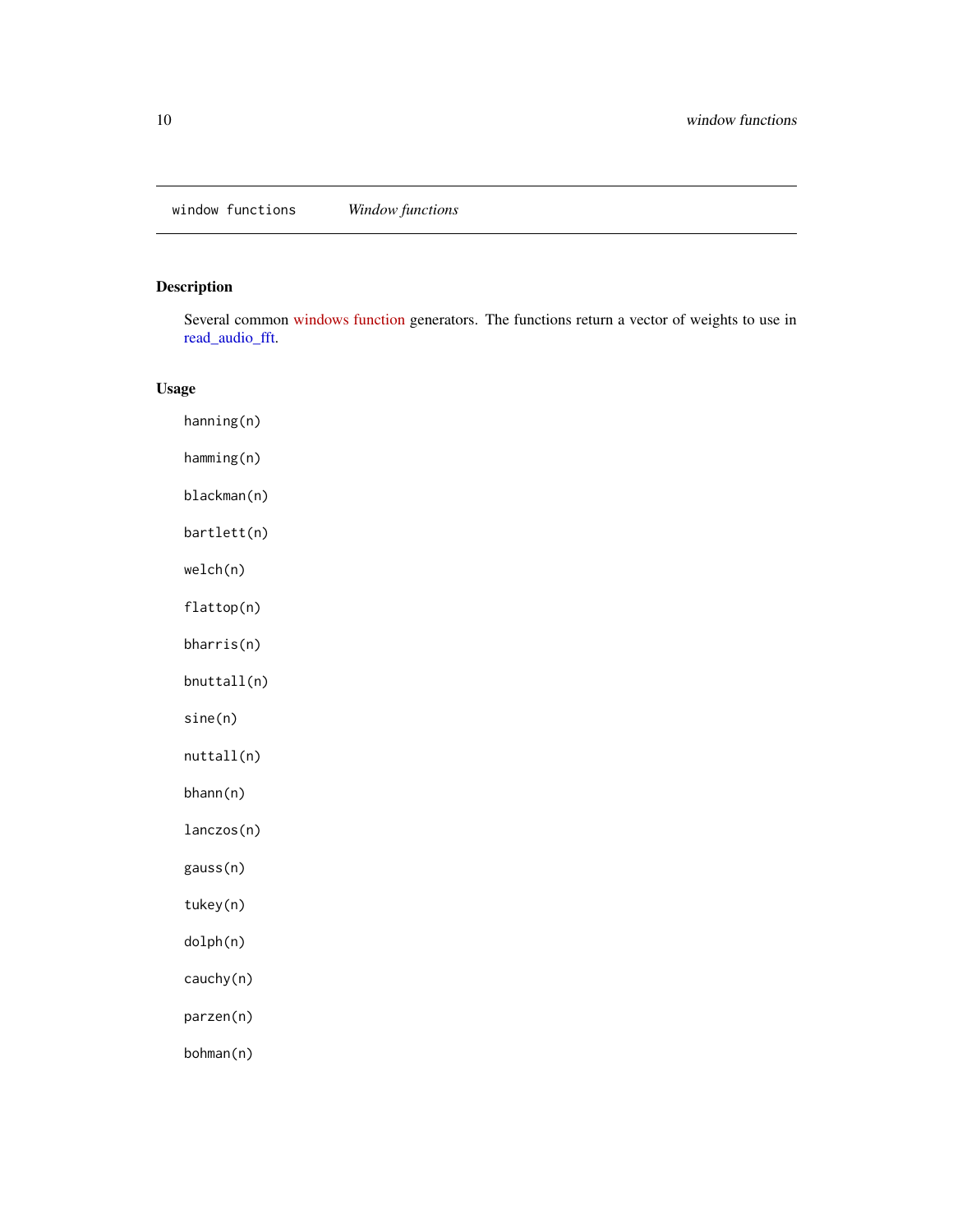<span id="page-9-0"></span>window functions *Window functions*

# <span id="page-9-1"></span>Description

Several common [windows function](https://en.wikipedia.org/wiki/Window_function) generators. The functions return a vector of weights to use in [read\\_audio\\_fft.](#page-7-1)

# Usage

hanning(n) hamming(n) blackman(n) bartlett(n) welch(n) flattop(n) bharris(n) bnuttall(n) sine(n) nuttall(n) bhann(n) lanczos(n) gauss(n) tukey(n) dolph(n) cauchy(n) parzen(n) bohman(n)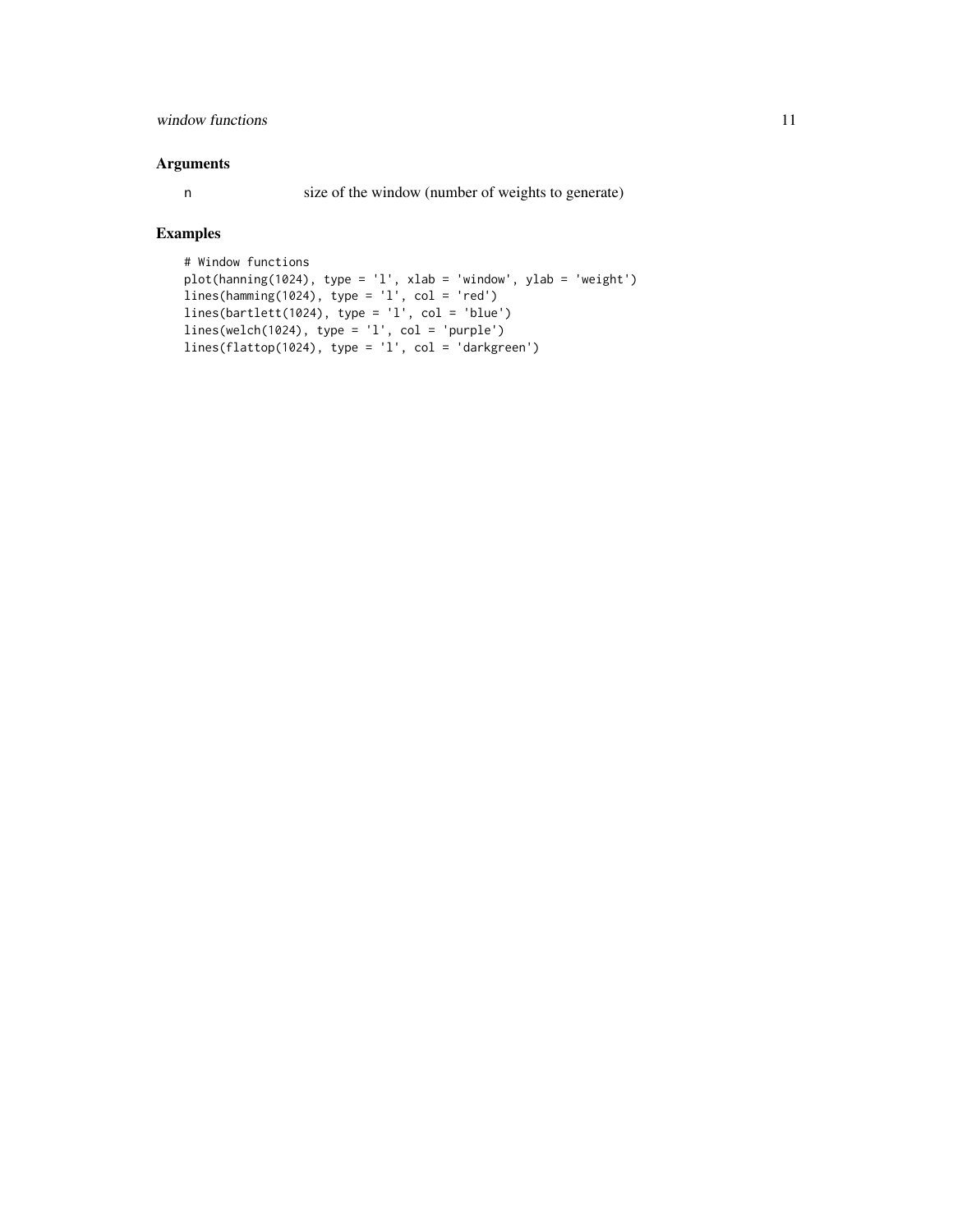# window functions and the set of the set of the set of the set of the set of the set of the set of the set of the set of the set of the set of the set of the set of the set of the set of the set of the set of the set of the

### Arguments

n size of the window (number of weights to generate)

# Examples

```
# Window functions
plot(hanning(1024), type = 'l', xlab = 'window', ylab = 'weight')
lines(hamming(1024), type = 'l', col = 'red')
lines(bartlett(1024), type = 'l', col = 'blue')
lines(welch(1024), type = 'l', col = 'purple')
lines(flattop(1024), type = 'l', col = 'darkgreen')
```